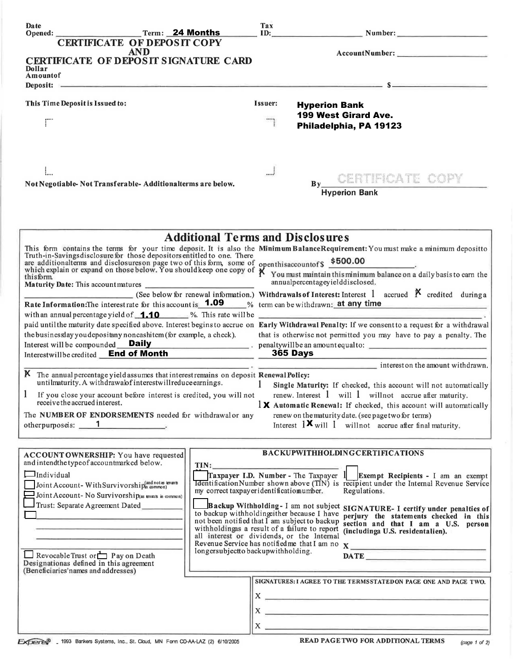| Date<br>Opened: Term: 24 Months                                                                                                                                                                                                                   |                                                                                             | Tax                  |                                         | ID: Number: Number:                                                                                                                                                                                                                  |               |
|---------------------------------------------------------------------------------------------------------------------------------------------------------------------------------------------------------------------------------------------------|---------------------------------------------------------------------------------------------|----------------------|-----------------------------------------|--------------------------------------------------------------------------------------------------------------------------------------------------------------------------------------------------------------------------------------|---------------|
| <b>CERTIFICATE OF DEPOSIT COPY</b>                                                                                                                                                                                                                |                                                                                             |                      |                                         |                                                                                                                                                                                                                                      |               |
| <b>AND</b>                                                                                                                                                                                                                                        |                                                                                             |                      |                                         |                                                                                                                                                                                                                                      |               |
| CERTIFICATE OF DEPOSIT SIGNATURE CARD<br>Dollar                                                                                                                                                                                                   |                                                                                             |                      |                                         |                                                                                                                                                                                                                                      |               |
| Amountof                                                                                                                                                                                                                                          |                                                                                             |                      |                                         |                                                                                                                                                                                                                                      |               |
| Deposit: $s = s$                                                                                                                                                                                                                                  |                                                                                             |                      |                                         |                                                                                                                                                                                                                                      |               |
| This Time Deposit is Issued to:                                                                                                                                                                                                                   |                                                                                             | Issuer:              | <b>Hyperion Bank</b>                    |                                                                                                                                                                                                                                      |               |
|                                                                                                                                                                                                                                                   |                                                                                             |                      | 199 West Girard Ave.                    |                                                                                                                                                                                                                                      |               |
| ΓÏ                                                                                                                                                                                                                                                |                                                                                             |                      | Philadelphia, PA 19123                  |                                                                                                                                                                                                                                      |               |
|                                                                                                                                                                                                                                                   |                                                                                             |                      |                                         |                                                                                                                                                                                                                                      |               |
|                                                                                                                                                                                                                                                   |                                                                                             |                      |                                         |                                                                                                                                                                                                                                      |               |
|                                                                                                                                                                                                                                                   |                                                                                             |                      |                                         |                                                                                                                                                                                                                                      |               |
|                                                                                                                                                                                                                                                   |                                                                                             |                      |                                         |                                                                                                                                                                                                                                      |               |
| Not Negotiable-Not Transferable-Additionalterms are below.                                                                                                                                                                                        |                                                                                             |                      |                                         | By CERTIFICATE COPY                                                                                                                                                                                                                  |               |
|                                                                                                                                                                                                                                                   |                                                                                             | <b>Hyperion Bank</b> |                                         |                                                                                                                                                                                                                                      |               |
|                                                                                                                                                                                                                                                   |                                                                                             |                      |                                         |                                                                                                                                                                                                                                      |               |
|                                                                                                                                                                                                                                                   |                                                                                             |                      |                                         |                                                                                                                                                                                                                                      |               |
|                                                                                                                                                                                                                                                   |                                                                                             |                      |                                         |                                                                                                                                                                                                                                      |               |
|                                                                                                                                                                                                                                                   |                                                                                             |                      | <b>Additional Terms and Disclosures</b> |                                                                                                                                                                                                                                      |               |
| This form contains the terms for your time deposit. It is also the Minimum BalanceRequirement: You must make a minimum depositto Truth-in-Savings disclosure for those depositors entitled to one. There                                          |                                                                                             |                      |                                         |                                                                                                                                                                                                                                      |               |
|                                                                                                                                                                                                                                                   |                                                                                             |                      |                                         |                                                                                                                                                                                                                                      |               |
| and the savings also loss the tor those depositors entities to one. There<br>are additional terms and disclosures on page two of this form, some of openthis account of \$500.00<br>which explain or expand on those below. You shoul<br>thisform |                                                                                             |                      |                                         |                                                                                                                                                                                                                                      |               |
|                                                                                                                                                                                                                                                   |                                                                                             |                      | annualpercentageyielddisclosed.         |                                                                                                                                                                                                                                      |               |
| (See below for renewal information.) Withdrawals of Interest: Interest 1 accrued $\beta$ credited during a<br>Rate Information: The interestrate for this account is <b>1.09</b> % term can be withdrawn; at any time                             |                                                                                             |                      |                                         |                                                                                                                                                                                                                                      |               |
| with an annual percentage yield of $\overline{1.10}$ %. This rate will be $\overline{2.1}$                                                                                                                                                        |                                                                                             |                      |                                         |                                                                                                                                                                                                                                      |               |
| paid until the maturity date specified above. Interest begins to accrue on Early Withdrawal Penalty: If we consent to a request for a withdrawal                                                                                                  |                                                                                             |                      |                                         |                                                                                                                                                                                                                                      |               |
| the businessday you depositany noncashitem (for example, a check).                                                                                                                                                                                |                                                                                             |                      |                                         | that is otherwise not permitted you may have to pay a penalty. The                                                                                                                                                                   |               |
| Interest will be compounded Daily<br>Interestwill be credited End of Month<br>1965 Days                                                                                                                                                           |                                                                                             |                      |                                         |                                                                                                                                                                                                                                      |               |
|                                                                                                                                                                                                                                                   |                                                                                             |                      |                                         |                                                                                                                                                                                                                                      |               |
|                                                                                                                                                                                                                                                   |                                                                                             |                      |                                         | $\frac{1}{2}$ interest on the amount withdrawn.                                                                                                                                                                                      |               |
| K The annual percentage yield assumes that interest remains on deposit Renewal Policy:<br>untilmaturity. A withdrawalof interestwillreduce earnings.                                                                                              |                                                                                             | $\mathbf{1}$         |                                         | Single Maturity: If checked, this account will not automatically                                                                                                                                                                     |               |
| If you close your account before interest is credited, you will not                                                                                                                                                                               |                                                                                             |                      |                                         | renew. Interest 1 will 1 will not accrue after maturity.                                                                                                                                                                             |               |
| receive the accrued interest.                                                                                                                                                                                                                     |                                                                                             |                      |                                         | $\frac{1}{2}$ Automatic Renewal: If checked, this account will automatically                                                                                                                                                         |               |
| The NUMBER OF ENDORSEMENTS needed for withdrawal or any                                                                                                                                                                                           |                                                                                             |                      |                                         | renew on the maturity date. (see page two for terms)                                                                                                                                                                                 |               |
| otherpurposeis: 1                                                                                                                                                                                                                                 |                                                                                             |                      |                                         | Interest $1 \times$ will 1 will not accrue after final maturity.                                                                                                                                                                     |               |
|                                                                                                                                                                                                                                                   |                                                                                             |                      |                                         |                                                                                                                                                                                                                                      |               |
| ACCOUNT OWNERSHIP: You have requested                                                                                                                                                                                                             |                                                                                             |                      |                                         | <b>BACKUPWITHHOLDINGCERTIFICATIONS</b>                                                                                                                                                                                               |               |
| and intendthe type of accountmarked below.                                                                                                                                                                                                        | TIN:                                                                                        |                      |                                         |                                                                                                                                                                                                                                      |               |
| $\Box$ Individual                                                                                                                                                                                                                                 |                                                                                             |                      |                                         | Traxpayer I.D. Number - The Taxpayer $1$ Exempt Recipients - I am an exempt                                                                                                                                                          |               |
| Joint Account-With Survivorship(and notes knants                                                                                                                                                                                                  | my correct taxpayer identificatiomumber.                                                    |                      |                                         | <b>Identification Number shown above (TIN)</b> is recipient under the Internal Revenue Service<br>Regulations.                                                                                                                       |               |
| Joint Account- No Survivorship(as tenants in common)                                                                                                                                                                                              |                                                                                             |                      |                                         |                                                                                                                                                                                                                                      |               |
| Trust: Separate Agreement Dated                                                                                                                                                                                                                   | to backup withholding ther because I have                                                   |                      |                                         | Backup Withholding-I am not subject SIGNATURE-I certify under penalties of                                                                                                                                                           |               |
|                                                                                                                                                                                                                                                   | not been notified that I am subject to backup                                               |                      |                                         | perjury the statements checked in this<br>section and that I am a U.S. person                                                                                                                                                        |               |
|                                                                                                                                                                                                                                                   | withholdingas a result of a failure to report<br>all interest or dividends, or the Internal |                      |                                         | (includinga U.S. residentalien).                                                                                                                                                                                                     |               |
|                                                                                                                                                                                                                                                   |                                                                                             |                      |                                         | Revenue Service has notified me that I am no X                                                                                                                                                                                       |               |
| Revocable Trust or $\Box$ P ay on Death                                                                                                                                                                                                           | longersubjectto backupwithholding.                                                          |                      |                                         |                                                                                                                                                                                                                                      |               |
| Designationas defined in this agreement<br>(Beneficiaries'names and addresses)                                                                                                                                                                    |                                                                                             |                      |                                         |                                                                                                                                                                                                                                      |               |
|                                                                                                                                                                                                                                                   |                                                                                             |                      |                                         | SIGNATURES: I AGREE TO THE TERMSSTATED ON PAGE ONE AND PAGE TWO.                                                                                                                                                                     |               |
|                                                                                                                                                                                                                                                   |                                                                                             |                      |                                         | $\mathbf{x}$ $\overline{\phantom{a}}$                                                                                                                                                                                                |               |
|                                                                                                                                                                                                                                                   |                                                                                             |                      |                                         |                                                                                                                                                                                                                                      |               |
|                                                                                                                                                                                                                                                   |                                                                                             | $X -$                |                                         | <u>see alle provincia suomen muodosta suomen muodosta suomen muodosta suomen muodosta suomen muodosta suomen muodosta suomen muodosta suomen muodosta suomen muodosta suomen muodosta suomen muodosta suomen muodosta suomen muo</u> |               |
|                                                                                                                                                                                                                                                   |                                                                                             | $X_{-}$              |                                         |                                                                                                                                                                                                                                      |               |
| EXPERIS 1993 Bankers Systems, Inc., St. Cloud, MN Form CD-AA-LAZ (2) 6/10/2005                                                                                                                                                                    |                                                                                             |                      |                                         | <b>READ PAGETWO FOR ADDITIONAL TERMS</b>                                                                                                                                                                                             | (page 1 of 2) |